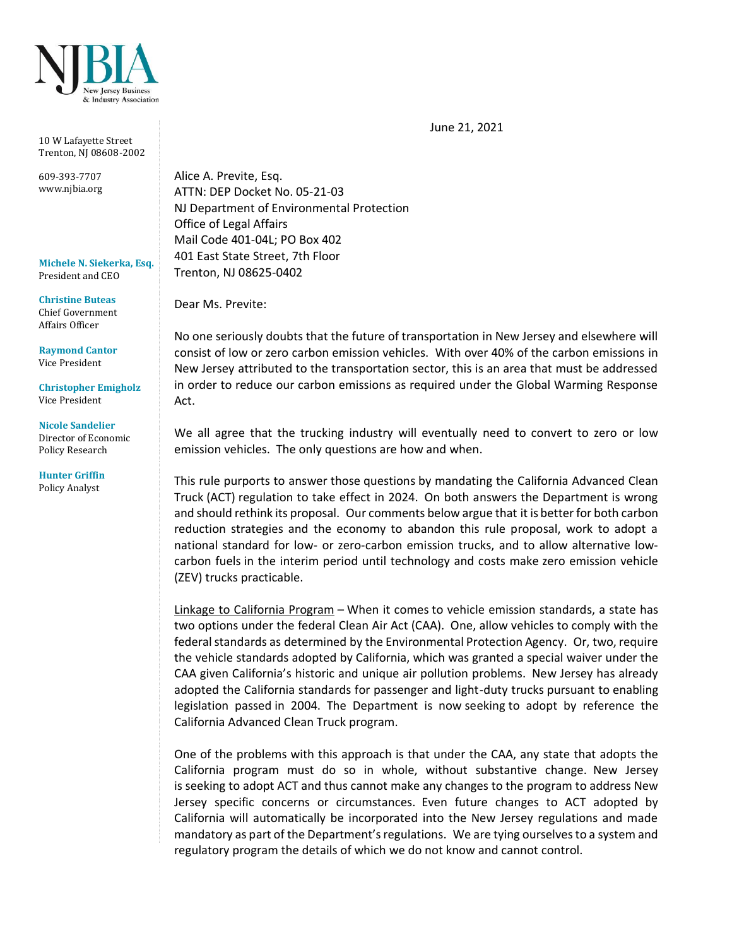

10 W Lafayette Street Trenton, NJ 08608-2002

609-393-7707 www.njbia.org

**Michele N. Siekerka, Esq.** President and CEO

**Christine Buteas** Chief Government Affairs Officer

**Raymond Cantor** Vice President

**Christopher Emigholz** Vice President

## **Nicole Sandelier** Director of Economic

Policy Research

**Hunter Griffin** Policy Analyst

Alice A. Previte, Esq. ATTN: DEP Docket No. 05-21-03 NJ Department of Environmental Protection Office of Legal Affairs Mail Code 401-04L; PO Box 402 401 East State Street, 7th Floor Trenton, NJ 08625-0402

Dear Ms. Previte:

No one seriously doubts that the future of transportation in New Jersey and elsewhere will consist of low or zero carbon emission vehicles. With over 40% of the carbon emissions in New Jersey attributed to the transportation sector, this is an area that must be addressed in order to reduce our carbon emissions as required under the Global Warming Response Act.

We all agree that the trucking industry will eventually need to convert to zero or low emission vehicles. The only questions are how and when.

This rule purports to answer those questions by mandating the California Advanced Clean Truck (ACT) regulation to take effect in 2024. On both answers the Department is wrong and should rethink its proposal. Our comments below argue that it is better for both carbon reduction strategies and the economy to abandon this rule proposal, work to adopt a national standard for low- or zero-carbon emission trucks, and to allow alternative lowcarbon fuels in the interim period until technology and costs make zero emission vehicle (ZEV) trucks practicable.

Linkage to California Program - When it comes to vehicle emission standards, a state has two options under the federal Clean Air Act (CAA). One, allow vehicles to comply with the federal standards as determined by the Environmental Protection Agency. Or, two, require the vehicle standards adopted by California, which was granted a special waiver under the CAA given California's historic and unique air pollution problems. New Jersey has already adopted the California standards for passenger and light-duty trucks pursuant to enabling legislation passed in 2004. The Department is now seeking to adopt by reference the California Advanced Clean Truck program.

One of the problems with this approach is that under the CAA, any state that adopts the California program must do so in whole, without substantive change. New Jersey is seeking to adopt ACT and thus cannot make any changes to the program to address New Jersey specific concerns or circumstances. Even future changes to ACT adopted by California will automatically be incorporated into the New Jersey regulations and made mandatory as part of the Department's regulations. We are tying ourselves to a system and regulatory program the details of which we do not know and cannot control.

June 21, 2021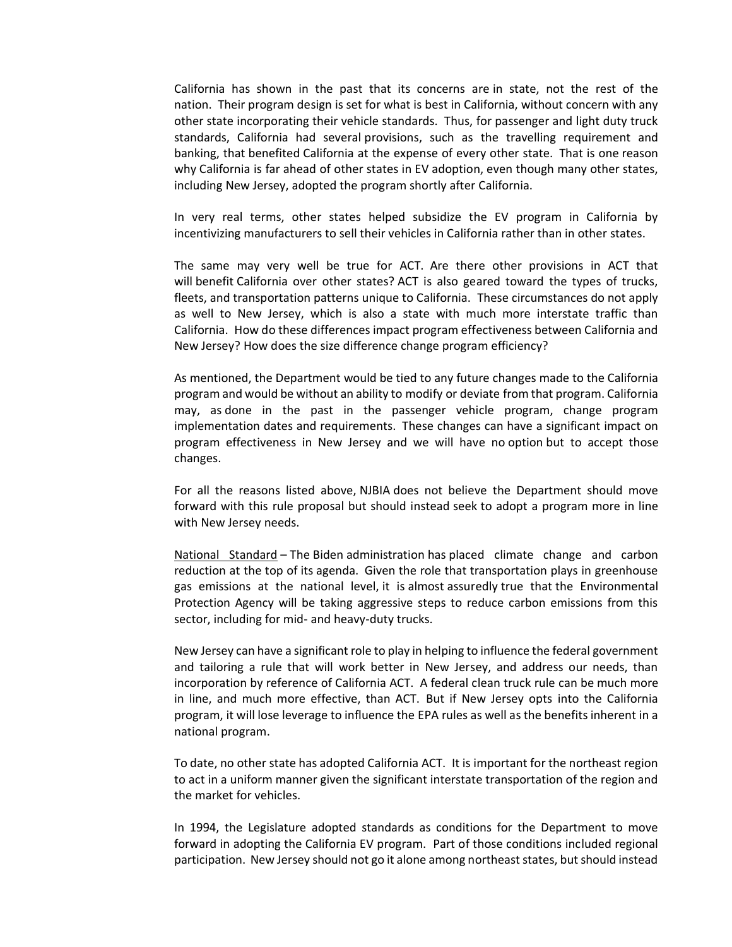California has shown in the past that its concerns are in state, not the rest of the nation. Their program design is set for what is best in California, without concern with any other state incorporating their vehicle standards. Thus, for passenger and light duty truck standards, California had several provisions, such as the travelling requirement and banking, that benefited California at the expense of every other state. That is one reason why California is far ahead of other states in EV adoption, even though many other states, including New Jersey, adopted the program shortly after California.

In very real terms, other states helped subsidize the EV program in California by incentivizing manufacturers to sell their vehicles in California rather than in other states.

The same may very well be true for ACT. Are there other provisions in ACT that will benefit California over other states? ACT is also geared toward the types of trucks, fleets, and transportation patterns unique to California. These circumstances do not apply as well to New Jersey, which is also a state with much more interstate traffic than California. How do these differences impact program effectiveness between California and New Jersey? How does the size difference change program efficiency?

As mentioned, the Department would be tied to any future changes made to the California program and would be without an ability to modify or deviate from that program. California may, as done in the past in the passenger vehicle program, change program implementation dates and requirements. These changes can have a significant impact on program effectiveness in New Jersey and we will have no option but to accept those changes.

For all the reasons listed above, NJBIA does not believe the Department should move forward with this rule proposal but should instead seek to adopt a program more in line with New Jersey needs.

National Standard – The Biden administration has placed climate change and carbon reduction at the top of its agenda. Given the role that transportation plays in greenhouse gas emissions at the national level, it is almost assuredly true that the Environmental Protection Agency will be taking aggressive steps to reduce carbon emissions from this sector, including for mid- and heavy-duty trucks.

New Jersey can have a significant role to play in helping to influence the federal government and tailoring a rule that will work better in New Jersey, and address our needs, than incorporation by reference of California ACT. A federal clean truck rule can be much more in line, and much more effective, than ACT. But if New Jersey opts into the California program, it will lose leverage to influence the EPA rules as well as the benefits inherent in a national program.

To date, no other state has adopted California ACT. It is important for the northeast region to act in a uniform manner given the significant interstate transportation of the region and the market for vehicles.

In 1994, the Legislature adopted standards as conditions for the Department to move forward in adopting the California EV program. Part of those conditions included regional participation. New Jersey should not go it alone among northeast states, but should instead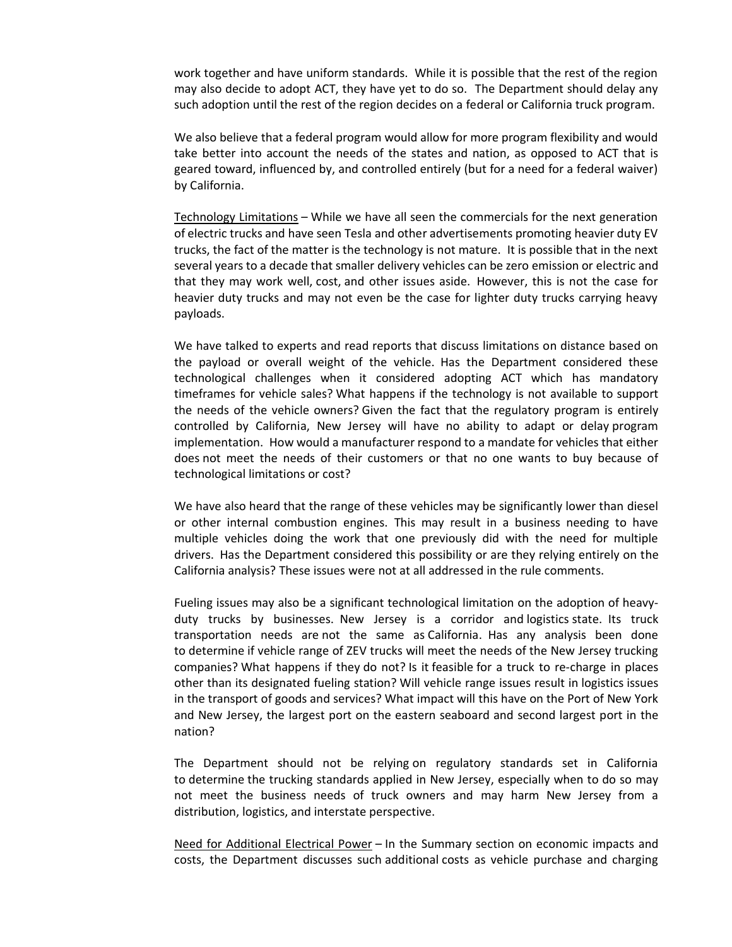work together and have uniform standards. While it is possible that the rest of the region may also decide to adopt ACT, they have yet to do so. The Department should delay any such adoption until the rest of the region decides on a federal or California truck program.

We also believe that a federal program would allow for more program flexibility and would take better into account the needs of the states and nation, as opposed to ACT that is geared toward, influenced by, and controlled entirely (but for a need for a federal waiver) by California.

Technology Limitations – While we have all seen the commercials for the next generation of electric trucks and have seen Tesla and other advertisements promoting heavier duty EV trucks, the fact of the matter is the technology is not mature. It is possible that in the next several years to a decade that smaller delivery vehicles can be zero emission or electric and that they may work well, cost, and other issues aside. However, this is not the case for heavier duty trucks and may not even be the case for lighter duty trucks carrying heavy payloads.

We have talked to experts and read reports that discuss limitations on distance based on the payload or overall weight of the vehicle. Has the Department considered these technological challenges when it considered adopting ACT which has mandatory timeframes for vehicle sales? What happens if the technology is not available to support the needs of the vehicle owners? Given the fact that the regulatory program is entirely controlled by California, New Jersey will have no ability to adapt or delay program implementation. How would a manufacturer respond to a mandate for vehicles that either does not meet the needs of their customers or that no one wants to buy because of technological limitations or cost?

We have also heard that the range of these vehicles may be significantly lower than diesel or other internal combustion engines. This may result in a business needing to have multiple vehicles doing the work that one previously did with the need for multiple drivers. Has the Department considered this possibility or are they relying entirely on the California analysis? These issues were not at all addressed in the rule comments.

Fueling issues may also be a significant technological limitation on the adoption of heavyduty trucks by businesses. New Jersey is a corridor and logistics state. Its truck transportation needs are not the same as California. Has any analysis been done to determine if vehicle range of ZEV trucks will meet the needs of the New Jersey trucking companies? What happens if they do not? Is it feasible for a truck to re-charge in places other than its designated fueling station? Will vehicle range issues result in logistics issues in the transport of goods and services? What impact will this have on the Port of New York and New Jersey, the largest port on the eastern seaboard and second largest port in the nation?

The Department should not be relying on regulatory standards set in California to determine the trucking standards applied in New Jersey, especially when to do so may not meet the business needs of truck owners and may harm New Jersey from a distribution, logistics, and interstate perspective.

Need for Additional Electrical Power – In the Summary section on economic impacts and costs, the Department discusses such additional costs as vehicle purchase and charging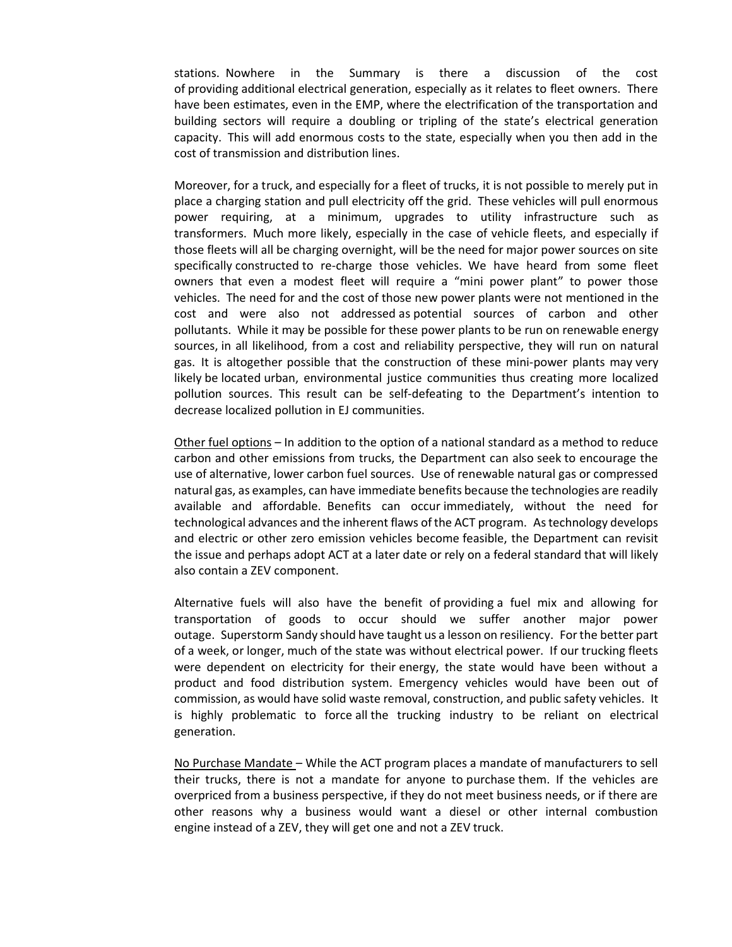stations. Nowhere in the Summary is there a discussion of the cost of providing additional electrical generation, especially as it relates to fleet owners. There have been estimates, even in the EMP, where the electrification of the transportation and building sectors will require a doubling or tripling of the state's electrical generation capacity. This will add enormous costs to the state, especially when you then add in the cost of transmission and distribution lines.

Moreover, for a truck, and especially for a fleet of trucks, it is not possible to merely put in place a charging station and pull electricity off the grid. These vehicles will pull enormous power requiring, at a minimum, upgrades to utility infrastructure such as transformers. Much more likely, especially in the case of vehicle fleets, and especially if those fleets will all be charging overnight, will be the need for major power sources on site specifically constructed to re-charge those vehicles. We have heard from some fleet owners that even a modest fleet will require a "mini power plant" to power those vehicles. The need for and the cost of those new power plants were not mentioned in the cost and were also not addressed as potential sources of carbon and other pollutants. While it may be possible for these power plants to be run on renewable energy sources, in all likelihood, from a cost and reliability perspective, they will run on natural gas. It is altogether possible that the construction of these mini-power plants may very likely be located urban, environmental justice communities thus creating more localized pollution sources. This result can be self-defeating to the Department's intention to decrease localized pollution in EJ communities.

Other fuel options – In addition to the option of a national standard as a method to reduce carbon and other emissions from trucks, the Department can also seek to encourage the use of alternative, lower carbon fuel sources. Use of renewable natural gas or compressed natural gas, as examples, can have immediate benefits because the technologies are readily available and affordable. Benefits can occur immediately, without the need for technological advances and the inherent flaws of the ACT program. As technology develops and electric or other zero emission vehicles become feasible, the Department can revisit the issue and perhaps adopt ACT at a later date or rely on a federal standard that will likely also contain a ZEV component.

Alternative fuels will also have the benefit of providing a fuel mix and allowing for transportation of goods to occur should we suffer another major power outage. Superstorm Sandy should have taught us a lesson on resiliency. For the better part of a week, or longer, much of the state was without electrical power. If our trucking fleets were dependent on electricity for their energy, the state would have been without a product and food distribution system. Emergency vehicles would have been out of commission, as would have solid waste removal, construction, and public safety vehicles. It is highly problematic to force all the trucking industry to be reliant on electrical generation.

No Purchase Mandate – While the ACT program places a mandate of manufacturers to sell their trucks, there is not a mandate for anyone to purchase them. If the vehicles are overpriced from a business perspective, if they do not meet business needs, or if there are other reasons why a business would want a diesel or other internal combustion engine instead of a ZEV, they will get one and not a ZEV truck.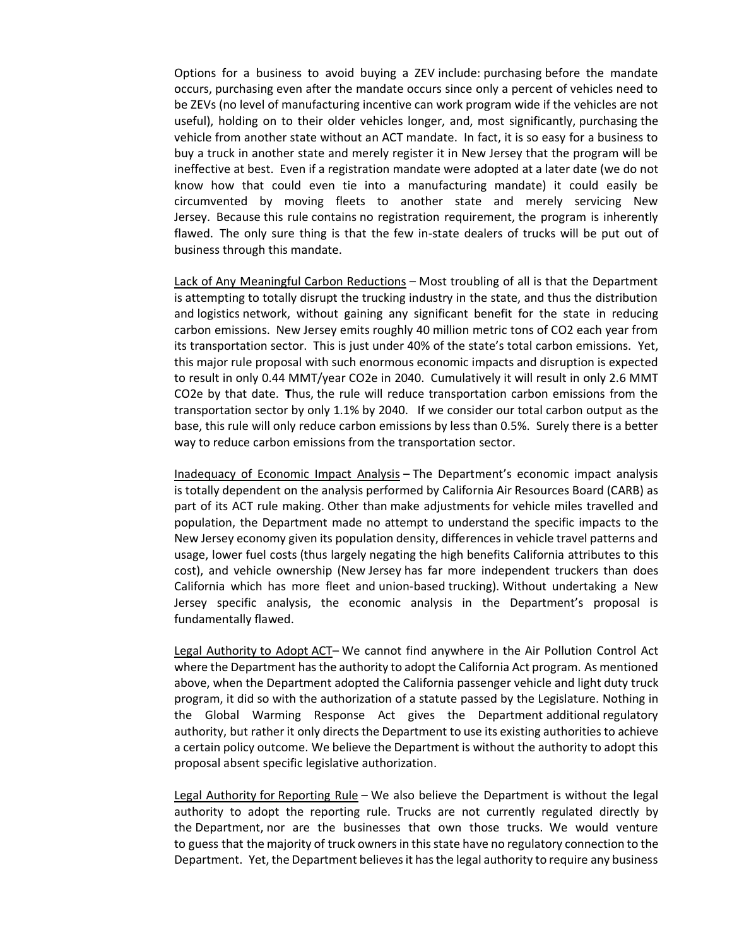Options for a business to avoid buying a ZEV include: purchasing before the mandate occurs, purchasing even after the mandate occurs since only a percent of vehicles need to be ZEVs (no level of manufacturing incentive can work program wide if the vehicles are not useful), holding on to their older vehicles longer, and, most significantly, purchasing the vehicle from another state without an ACT mandate. In fact, it is so easy for a business to buy a truck in another state and merely register it in New Jersey that the program will be ineffective at best. Even if a registration mandate were adopted at a later date (we do not know how that could even tie into a manufacturing mandate) it could easily be circumvented by moving fleets to another state and merely servicing New Jersey. Because this rule contains no registration requirement, the program is inherently flawed. The only sure thing is that the few in-state dealers of trucks will be put out of business through this mandate.

Lack of Any Meaningful Carbon Reductions – Most troubling of all is that the Department is attempting to totally disrupt the trucking industry in the state, and thus the distribution and logistics network, without gaining any significant benefit for the state in reducing carbon emissions. New Jersey emits roughly 40 million metric tons of CO2 each year from its transportation sector. This is just under 40% of the state's total carbon emissions. Yet, this major rule proposal with such enormous economic impacts and disruption is expected to result in only 0.44 MMT/year CO2e in 2040. Cumulatively it will result in only 2.6 MMT CO2e by that date. **T**hus, the rule will reduce transportation carbon emissions from the transportation sector by only 1.1% by 2040. If we consider our total carbon output as the base, this rule will only reduce carbon emissions by less than 0.5%. Surely there is a better way to reduce carbon emissions from the transportation sector.

Inadequacy of Economic Impact Analysis – The Department's economic impact analysis is totally dependent on the analysis performed by California Air Resources Board (CARB) as part of its ACT rule making. Other than make adjustments for vehicle miles travelled and population, the Department made no attempt to understand the specific impacts to the New Jersey economy given its population density, differences in vehicle travel patterns and usage, lower fuel costs (thus largely negating the high benefits California attributes to this cost), and vehicle ownership (New Jersey has far more independent truckers than does California which has more fleet and union-based trucking). Without undertaking a New Jersey specific analysis, the economic analysis in the Department's proposal is fundamentally flawed.

Legal Authority to Adopt ACT- We cannot find anywhere in the Air Pollution Control Act where the Department has the authority to adopt the California Act program. As mentioned above, when the Department adopted the California passenger vehicle and light duty truck program, it did so with the authorization of a statute passed by the Legislature. Nothing in the Global Warming Response Act gives the Department additional regulatory authority, but rather it only directs the Department to use its existing authorities to achieve a certain policy outcome. We believe the Department is without the authority to adopt this proposal absent specific legislative authorization.

Legal Authority for Reporting Rule - We also believe the Department is without the legal authority to adopt the reporting rule. Trucks are not currently regulated directly by the Department, nor are the businesses that own those trucks. We would venture to guess that the majority of truck owners in this state have no regulatory connection to the Department. Yet, the Department believes it has the legal authority to require any business